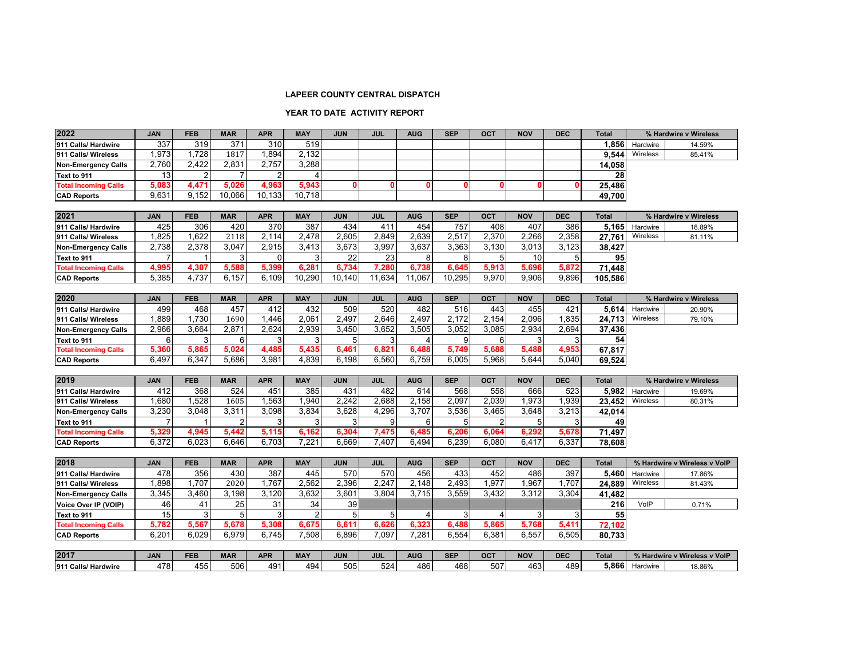## **LAPEER COUNTY CENTRAL DISPATCH**

## **YEAR TO DATE ACTIVITY REPORT**

| 2022                        | <b>JAN</b> | <b>FEB</b> | <b>MAR</b>     | <b>APR</b>     | <b>MAY</b>     | <b>JUN</b> | <b>JUL</b> | <b>AUG</b> | <b>SEP</b> | <b>OCT</b>     | <b>NOV</b> | <b>DEC</b>  | <b>Total</b> |                       | % Hardwire v Wireless        |
|-----------------------------|------------|------------|----------------|----------------|----------------|------------|------------|------------|------------|----------------|------------|-------------|--------------|-----------------------|------------------------------|
| 911 Calls/ Hardwire         | 337        | 319        | 371            | 310            | 519            |            |            |            |            |                |            |             | 1,856        | Hardwire              | 14.59%                       |
| 911 Calls/ Wireless         | 1,973      | 1,728      | 1817           | 1,894          | 2,132          |            |            |            |            |                |            |             | 9.544        | Wireless              | 85.41%                       |
| <b>Non-Emergency Calls</b>  | 2,760      | 2,422      | 2,831          | 2,757          | 3,288          |            |            |            |            |                |            |             | 14,058       |                       |                              |
| Text to 911                 | 13         |            | $\overline{7}$ | $\overline{2}$ |                |            |            |            |            |                |            |             | 28           |                       |                              |
| <b>Total Incoming Calls</b> | 5,083      | 4,471      | 5,026          | 4,963          | 5,943          |            | ŋ          |            | 0          | -0             | 0          | $\mathbf 0$ | 25,486       |                       |                              |
| <b>CAD Reports</b>          | 9,631      | 9.152      | 10,066         | 10,133         | 10,718         |            |            |            |            |                |            |             | 49,700       |                       |                              |
|                             |            |            |                |                |                |            |            |            |            |                |            |             |              |                       |                              |
| 2021                        | JAN        | <b>FEB</b> | <b>MAR</b>     | <b>APR</b>     | <b>MAY</b>     | <b>JUN</b> | <b>JUL</b> | <b>AUG</b> | <b>SEP</b> | OCT            | <b>NOV</b> | <b>DEC</b>  | <b>Total</b> |                       | % Hardwire v Wireless        |
| 911 Calls/ Hardwire         | 425        | 306        | 420            | 370            | 387            | 434        | 411        | 454        | 757        | 408            | 407        | 386         | 5.165        | Hardwire              | 18.89%                       |
| 911 Calls/ Wireless         | 1,825      | 1,622      | 2118           | 2,114          | 2,478          | 2,605      | 2,849      | 2,639      | 2,517      | 2,370          | 2,266      | 2,358       | 27,761       | Wireless              | 81.11%                       |
| <b>Non-Emergency Calls</b>  | 2,738      | 2,378      | 3,047          | 2,915          | 3,413          | 3,673      | 3,997      | 3,637      | 3,363      | 3,130          | 3,013      | 3,123       | 38,427       |                       |                              |
| Text to 911                 |            |            | 3              | $\Omega$       | 3              | 22         | 23         | 8          | 8          | 5              | 10         | 5           | 95           |                       |                              |
| <b>Total Incoming Calls</b> | 4,995      | 4,307      | 5,588          | 5,399          | 6,281          | 6.734      | 7,280      | 6,738      | 6.645      | 5,913          | 5,696      | 5,872       | 71,448       |                       |                              |
| <b>CAD Reports</b>          | 5,385      | 4,737      | 6,157          | 6,109          | 10,290         | 10,140     | 11,634     | 11,067     | 10,295     | 9,970          | 9,906      | 9,896       | 105,586      |                       |                              |
|                             |            |            |                |                |                |            |            |            |            |                |            |             |              |                       |                              |
| 2020                        | <b>JAN</b> | <b>FEB</b> | <b>MAR</b>     | <b>APR</b>     | <b>MAY</b>     | <b>JUN</b> | <b>JUL</b> | <b>AUG</b> | <b>SEP</b> | OCT            | <b>NOV</b> | <b>DEC</b>  | <b>Total</b> |                       | % Hardwire v Wireless        |
| 911 Calls/ Hardwire         | 499        | 468        | 457            | 412            | 432            | 509        | 520        | 482        | 516        | 443            | 455        | 421         | 5,614        | Hardwire              | 20.90%                       |
| 911 Calls/ Wireless         | 1,889      | 1,730      | 1690           | 1,446          | 2,061          | 2,497      | 2,646      | 2,497      | 2,172      | 2,154          | 2,096      | 1,835       | 24,713       | Wireless              | 79.10%                       |
| <b>Non-Emergency Calls</b>  | 2,966      | 3,664      | 2,871          | 2,624          | 2,939          | 3,450      | 3,652      | 3,505      | 3,052      | 3,085          | 2,934      | 2,694       | 37,436       |                       |                              |
| Text to 911                 | 6          | 3          | 6              | 3              | 3              | 5          | 3          | 4          | 9          | 6              | 3          | 3           | 54           |                       |                              |
| <b>Total Incoming Calls</b> | 5,360      | 5,865      | 5,024          | 4,485          | 5,435          | 6,461      | 6,821      | 6,488      | 5,749      | 5,688          | 5,488      | 4,953       | 67,817       |                       |                              |
| <b>CAD Reports</b>          | 6,497      | 6,347      | 5,686          | 3,981          | 4,839          | 6,198      | 6,560      | 6,759      | 6,005      | 5,968          | 5,644      | 5,040       | 69,524       |                       |                              |
|                             |            |            |                |                |                |            |            |            |            |                |            |             |              |                       |                              |
| 2019                        | <b>JAN</b> | <b>FEB</b> | <b>MAR</b>     | <b>APR</b>     | <b>MAY</b>     | <b>JUN</b> | <b>JUL</b> | <b>AUG</b> | <b>SEP</b> | <b>OCT</b>     | <b>NOV</b> | <b>DEC</b>  | <b>Total</b> | % Hardwire v Wireless |                              |
| 911 Calls/ Hardwire         | 412        | 368        | 524            | 451            | 385            | 431        | 482        | 614        | 568        | 558            | 666        | 523         | 5.982        | Hardwire              | 19.69%                       |
| 911 Calls/ Wireless         | 1,680      | 1,528      | 1605           | 1,563          | 1,940          | 2,242      | 2,688      | 2,158      | 2,097      | 2,039          | 1,973      | 1,939       | 23,452       | Wireless              | 80.31%                       |
| <b>Non-Emergency Calls</b>  | 3,230      | 3,048      | 3,311          | 3,098          | 3,834          | 3,628      | 4,296      | 3,707      | 3,536      | 3,465          | 3,648      | 3,213       | 42,014       |                       |                              |
| Text to 911                 |            |            | $\overline{2}$ | 3              | 3              |            | 9          | 6          | 5          | $\overline{2}$ | 5          | 3           | 49           |                       |                              |
| <b>Total Incoming Calls</b> | 5,329      | 4,945      | 5,442          | 5,115          | 6,162          | 6,304      | 7,475      | 6,485      | 6,206      | 6,064          | 6,292      | 5,678       | 71,497       |                       |                              |
| <b>CAD Reports</b>          | 6.372      | 6.023      | 6.646          | 6.703          | 7.221          | 6.669      | 7.407      | 6.494      | 6.239      | 6.080          | 6.417      | 6,337       | 78,608       |                       |                              |
|                             |            |            |                |                |                |            |            |            |            |                |            |             |              |                       |                              |
| 2018                        | <b>JAN</b> | <b>FEB</b> | <b>MAR</b>     | <b>APR</b>     | <b>MAY</b>     | <b>JUN</b> | <b>JUL</b> | <b>AUG</b> | <b>SEP</b> | OCT            | <b>NOV</b> | <b>DEC</b>  | <b>Total</b> |                       | % Hardwire v Wireless v VolP |
| 911 Calls/ Hardwire         | 478        | 356        | 430            | 387            | 445            | 570        | 570        | 456        | 433        | 452            | 486        | 397         | 5.460        | Hardwire              | 17.86%                       |
| 911 Calls/ Wireless         | 1,898      | 1,707      | 2020           | 1,767          | 2,562          | 2,396      | 2,247      | 2,148      | 2,493      | 1,977          | 1,967      | 1,707       | 24,889       | Wireless              | 81.43%                       |
| <b>Non-Emergency Calls</b>  | 3,345      | 3,460      | 3,198          | 3,120          | 3,632          | 3,601      | 3,804      | 3,715      | 3,559      | 3,432          | 3,312      | 3,304       | 41,482       |                       |                              |
| Voice Over IP (VOIP)        | 46         | 41         | 25             | 31             | 34             | 39         |            |            |            |                |            |             | 216          | VoIP                  | 0.71%                        |
| Text to 911                 | 15         | 3          | 5              | 3              | $\overline{2}$ | 5          | 5          | 4          | 3          | $\overline{4}$ | 3          | 3           | 55           |                       |                              |
| <b>Total Incoming Calls</b> | 5,782      | 5,567      | 5,678          | 5,308          | 6,675          | 6,611      | 6,626      | 6,323      | 6,488      | 5,865          | 5,768      | 5,411       | 72,102       |                       |                              |
| <b>CAD Reports</b>          | 6,201      | 6.029      | 6.979          | 6,745          | 7,508          | 6,896      | 7,097      | 7.281      | 6,554      | 6,381          | 6,557      | 6,505       | 80,733       |                       |                              |
|                             |            |            |                |                |                |            |            |            |            |                |            |             |              |                       |                              |
| 2017                        | <b>JAN</b> | <b>FEB</b> | <b>MAR</b>     | <b>APR</b>     | <b>MAY</b>     | <b>JUN</b> | <b>JUL</b> | <b>AUG</b> | <b>SEP</b> | OCT            | <b>NOV</b> | <b>DEC</b>  | <b>Total</b> |                       | % Hardwire v Wireless v VoIP |
| 911 Calls/ Hardwire         | 478        | 455        | 506            | 491            | 494            | 505        | 524        | 486        | 468        | 507            | 463        | 489         | 5.866        | Hardwire              | 18.86%                       |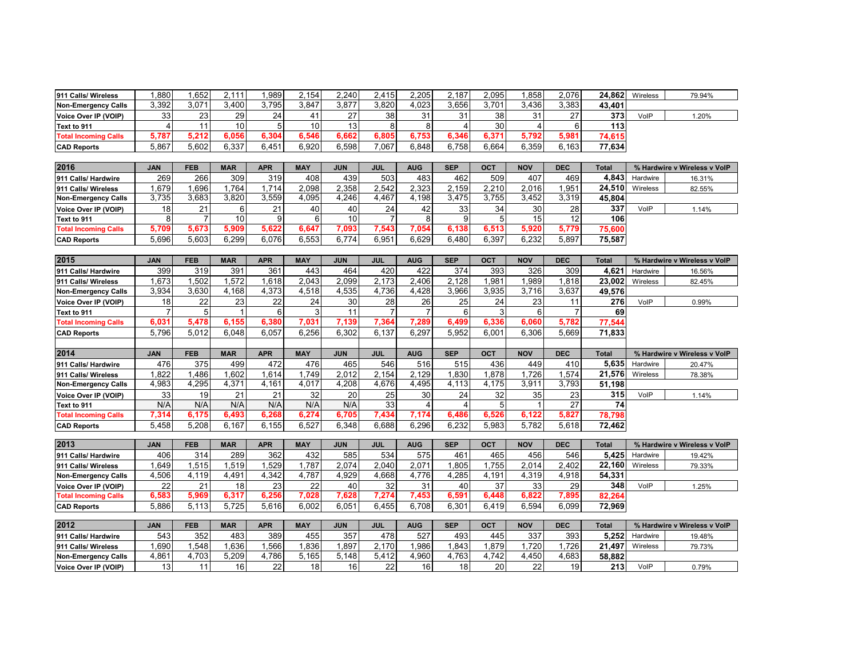| 911 Calls/ Wireless         | 1,880          | 1,652      | 2,111          | 1,989      | 2,154      | 2,240      | 2,415          | 2,205          | 2,187      | 2,095      | 1,858          | 2,076          | 24,862       | Wireless | 79.94%                       |
|-----------------------------|----------------|------------|----------------|------------|------------|------------|----------------|----------------|------------|------------|----------------|----------------|--------------|----------|------------------------------|
| <b>Non-Emergency Calls</b>  | 3,392          | 3,071      | 3,400          | 3,795      | 3,847      | 3,877      | 3,820          | 4,023          | 3,656      | 3,701      | 3,436          | 3,383          | 43,401       |          |                              |
| Voice Over IP (VOIP)        | 33             | 23         | 29             | 24         | 41         | 27         | 38             | 31             | 31         | 38         | 31             | 27             | 373          | VolP     | 1.20%                        |
| Text to 911                 | $\overline{4}$ | 11         | 10             | 5          | 10         | 13         | 8              | 8              | $\Delta$   | 30         | $\overline{4}$ | 6              | 113          |          |                              |
| <b>Total Incoming Calls</b> | 5,787          | 5,212      | 6,056          | 6,304      | 6,546      | 6,662      | 6,805          | 6,753          | 6,346      | 6,371      | 5,792          | 5,981          | 74,615       |          |                              |
| <b>CAD Reports</b>          | 5,867          | 5,602      | 6,337          | 6,451      | 6,920      | 6,598      | 7,067          | 6,848          | 6,758      | 6,664      | 6,359          | 6,163          | 77,634       |          |                              |
|                             |                |            |                |            |            |            |                |                |            |            |                |                |              |          |                              |
| 2016                        | <b>JAN</b>     | <b>FEB</b> | <b>MAR</b>     | <b>APR</b> | <b>MAY</b> | <b>JUN</b> | <b>JUL</b>     | <b>AUG</b>     | <b>SEP</b> | OCT        | <b>NOV</b>     | <b>DEC</b>     | <b>Total</b> |          | % Hardwire v Wireless v VolP |
| 911 Calls/ Hardwire         | 269            | 266        | 309            | 319        | 408        | 439        | 503            | 483            | 462        | 509        | 407            | 469            | 4,843        | Hardwire | 16.31%                       |
| 911 Calls/ Wireless         | 1,679          | 1.696      | 1.764          | 1,714      | 2.098      | 2.358      | 2.542          | 2.323          | 2,159      | 2,210      | 2.016          | 1.951          | 24,510       | Wireless | 82.55%                       |
| <b>Non-Emergency Calls</b>  | 3,735          | 3,683      | 3,820          | 3,559      | 4,095      | 4,246      | 4,467          | 4,198          | 3,475      | 3,755      | 3,452          | 3,319          | 45,804       |          |                              |
| Voice Over IP (VOIP)        | 18             | 21         | 6              | 21         | 40         | 40         | 24             | 42             | 33         | 34         | 30             | 28             | 337          | VoIP     | 1.14%                        |
| Text to 911                 | 8              |            | 10             | 9          | 6          | 10         | $\overline{7}$ | 8              | 9          | 5          | 15             | 12             | 106          |          |                              |
| <b>Total Incoming Calls</b> | 5,709          | 5,673      | 5,909          | 5,622      | 6,647      | 7,093      | 7,543          | 7,054          | 6,138      | 6,513      | 5,920          | 5,779          | 75,600       |          |                              |
| <b>CAD Reports</b>          | 5,696          | 5,603      | 6,299          | 6,076      | 6,553      | 6,774      | 6,951          | 6,629          | 6,480      | 6,397      | 6,232          | 5,897          | 75,587       |          |                              |
|                             |                |            |                |            |            |            |                |                |            |            |                |                |              |          |                              |
| 2015                        | <b>JAN</b>     | <b>FEB</b> | <b>MAR</b>     | <b>APR</b> | <b>MAY</b> | <b>JUN</b> | <b>JUL</b>     | <b>AUG</b>     | <b>SEP</b> | OCT        | <b>NOV</b>     | <b>DEC</b>     | <b>Total</b> |          | % Hardwire v Wireless v VolP |
| 911 Calls/ Hardwire         | 399            | 319        | 391            | 361        | 443        | 464        | 420            | 422            | 374        | 393        | 326            | 309            | 4,621        | Hardwire | 16.56%                       |
| 911 Calls/ Wireless         | 1,673          | 1.502      | 1,572          | 1,618      | 2.043      | 2.099      | 2.173          | 2.406          | 2,128      | 1.981      | 1.989          | 1.818          | 23,002       | Wireless | 82.45%                       |
| <b>Non-Emergency Calls</b>  | 3,934          | 3,630      | 4,168          | 4,373      | 4,518      | 4,535      | 4,736          | 4,428          | 3,966      | 3,935      | 3,716          | 3,637          | 49,576       |          |                              |
| Voice Over IP (VOIP)        | 18             | 22         | 23             | 22         | 24         | 30         | 28             | 26             | 25         | 24         | 23             | 11             | 276          | VoIP     | 0.99%                        |
| Text to 911                 | $\overline{7}$ | 5          | $\overline{1}$ | 6          | 3          | 11         | $\overline{7}$ | $\overline{7}$ | 6          | 3          | 6              | $\overline{7}$ | 69           |          |                              |
| <b>Total Incoming Calls</b> | 6,031          | 5,478      | 6,155          | 6,380      | 7,031      | 7,139      | 7,364          | 7,289          | 6,499      | 6,336      | 6.060          | 5,782          | 77,544       |          |                              |
| <b>CAD Reports</b>          | 5,796          | 5,012      | 6,048          | 6,057      | 6,256      | 6,302      | 6,137          | 6,297          | 5,952      | 6,001      | 6,306          | 5,669          | 71,833       |          |                              |
|                             |                |            |                |            |            |            |                |                |            |            |                |                |              |          |                              |
| 2014                        | <b>JAN</b>     | <b>FEB</b> | <b>MAR</b>     | <b>APR</b> | <b>MAY</b> | <b>JUN</b> | <b>JUL</b>     | <b>AUG</b>     | <b>SEP</b> | OCT        | <b>NOV</b>     | <b>DEC</b>     | <b>Total</b> |          | % Hardwire v Wireless v VoIP |
| 911 Calls/ Hardwire         | 476            | 375        | 499            | 472        | 476        | 465        | 546            | 516            | 515        | 436        | 449            | 410            | 5,635        | Hardwire | 20.47%                       |
| 911 Calls/ Wireless         | 1,822          | 1,486      | 1,602          | 1,614      | 1,749      | 2,012      | 2,154          | 2,129          | 1,830      | 1,878      | 1,726          | 1,574          | 21,576       | Wireless | 78.38%                       |
| <b>Non-Emergency Calls</b>  | 4,983          | 4,295      | 4,371          | 4,161      | 4,017      | 4,208      | 4,676          | 4,495          | 4,113      | 4,175      | 3,911          | 3,793          | 51,198       |          |                              |
| Voice Over IP (VOIP)        | 33             | 19         | 21             | 21         | 32         | 20         | 25             | 30             | 24         | 32         | 35             | 23             | 315          | VoIP     | 1.14%                        |
| Text to 911                 | N/A            | N/A        | N/A            | N/A        | N/A        | N/A        | 33             | $\overline{a}$ | $\Delta$   | 5          | $\overline{1}$ | 27             | 74           |          |                              |
| <b>Total Incoming Calls</b> | 7,314          | 6,175      | 6,493          | 6,268      | 6,274      | 6,705      | 7,434          | 7,174          | 6,486      | 6,526      | 6,122          | 5,827          | 78,798       |          |                              |
| <b>CAD Reports</b>          | 5,458          | 5,208      | 6,167          | 6,155      | 6,527      | 6,348      | 6,688          | 6,296          | 6,232      | 5,983      | 5,782          | 5,618          | 72,462       |          |                              |
|                             |                |            |                |            |            |            |                |                |            |            |                |                |              |          |                              |
| 2013                        | <b>JAN</b>     | <b>FEB</b> | <b>MAR</b>     | <b>APR</b> | <b>MAY</b> | <b>JUN</b> | <b>JUL</b>     | <b>AUG</b>     | <b>SEP</b> | <b>OCT</b> | <b>NOV</b>     | <b>DEC</b>     | <b>Total</b> |          | % Hardwire v Wireless v VoIP |
| 911 Calls/ Hardwire         | 406            | 314        | 289            | 362        | 432        | 585        | 534            | 575            | 461        | 465        | 456            | 546            | 5,425        | Hardwire | 19.42%                       |
| 911 Calls/ Wireless         | 1,649          | 1,515      | 1,519          | 1,529      | 1,787      | 2,074      | 2,040          | 2,071          | 1,805      | 1,755      | 2,014          | 2,402          | 22,160       | Wireless | 79.33%                       |
| <b>Non-Emergency Calls</b>  | 4,506          | 4,119      | 4,491          | 4,342      | 4,787      | 4,929      | 4,668          | 4,776          | 4,285      | 4,191      | 4,319          | 4,918          | 54,331       |          |                              |
| Voice Over IP (VOIP)        | 22             | 21         | 18             | 23         | 22         | 40         | 32             | 31             | 40         | 37         | 33             | 29             | 348          | VolP     | 1.25%                        |
| <b>Total Incoming Calls</b> | 6,583          | 5,969      | 6,317          | 6.256      | 7.028      | 7,628      | 7,274          | 7,453          | 6,591      | 6,448      | 6,822          | 7,895          | 82,264       |          |                              |
| <b>CAD Reports</b>          | 5,886          | 5,113      | 5,725          | 5,616      | 6,002      | 6,051      | 6,455          | 6,708          | 6,301      | 6,419      | 6,594          | 6,099          | 72,969       |          |                              |
|                             |                |            |                |            |            |            |                |                |            |            |                |                |              |          |                              |
| 2012                        | JAN            | <b>FEB</b> | <b>MAR</b>     | <b>APR</b> | <b>MAY</b> | <b>JUN</b> | <b>JUL</b>     | <b>AUG</b>     | <b>SEP</b> | <b>OCT</b> | <b>NOV</b>     | <b>DEC</b>     | <b>Total</b> |          | % Hardwire v Wireless v VolP |
| 911 Calls/ Hardwire         | 543            | 352        | 483            | 389        | 455        | 357        | 478            | 527            | 493        | 445        | 337            | 393            | 5,252        | Hardwire | 19.48%                       |
| 911 Calls/ Wireless         | 1,690          | 1,548      | 1,636          | 1,566      | 1,836      | 1,897      | 2,170          | 1,986          | 1,843      | 1,879      | 1,720          | 1,726          | 21,497       | Wireless | 79.73%                       |
| <b>Non-Emergency Calls</b>  | 4,861          | 4,703      | 5,209          | 4,786      | 5,165      | 5,148      | 5,412          | 4,960          | 4,763      | 4,742      | 4,450          | 4,683          | 58,882       |          |                              |
| Voice Over IP (VOIP)        | 13             | 11         | 16             | 22         | 18         | 16         | 22             | 16             | 18         | 20         | 22             | 19             | 213          | VolP     | 0.79%                        |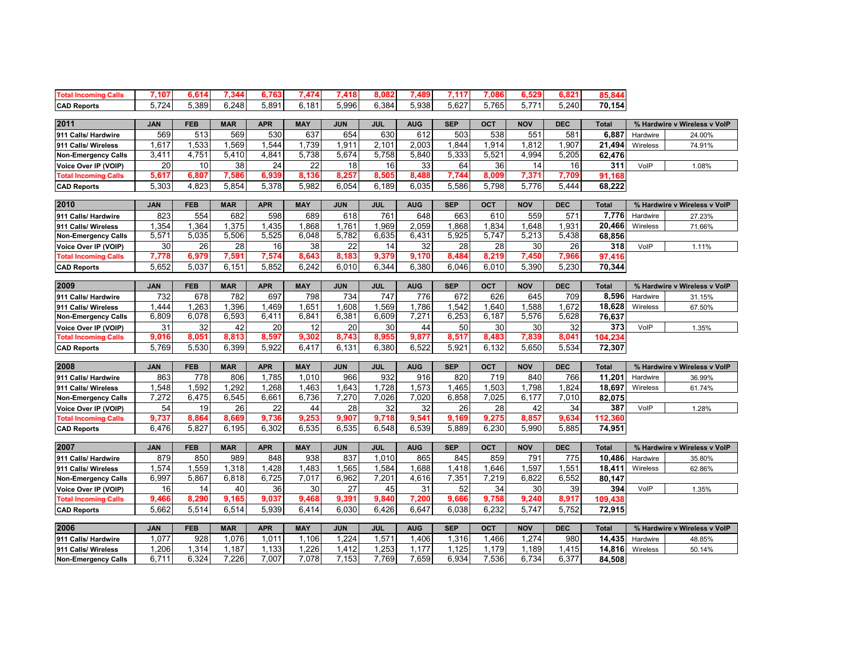| <b>Total Incoming Calls</b> | 7,107      | 6,614      | 7,344      | 6,763      | 7,474      | 7,418      | 8.082      | 7,489      | 7,117      | 7,086      | 6,529      | 6,821      | 85,844       |          |                              |
|-----------------------------|------------|------------|------------|------------|------------|------------|------------|------------|------------|------------|------------|------------|--------------|----------|------------------------------|
|                             | 5.724      | 5.389      | 6.248      | 5.891      | 6,181      | 5,996      | 6.384      | 5,938      | 5.627      | 5,765      | 5.771      | 5.240      |              |          |                              |
| <b>CAD Reports</b>          |            |            |            |            |            |            |            |            |            |            |            |            | 70,154       |          |                              |
| 2011                        | <b>JAN</b> | <b>FEB</b> | <b>MAR</b> | <b>APR</b> | <b>MAY</b> | <b>JUN</b> | <b>JUL</b> | <b>AUG</b> | <b>SEP</b> | <b>OCT</b> | <b>NOV</b> | <b>DEC</b> | Total        |          | % Hardwire v Wireless v VoIP |
| 911 Calls/ Hardwire         | 569        | 513        | 569        | 530        | 637        | 654        | 630        | 612        | 503        | 538        | 551        | 581        | 6,887        | Hardwire | 24.00%                       |
| 911 Calls/ Wireless         | 1,617      | 1,533      | 1,569      | 1,544      | 1,739      | 1,911      | 2,101      | 2,003      | 1,844      | 1,914      | 1,812      | 1,907      | 21,494       | Wireless | 74.91%                       |
| <b>Non-Emergency Calls</b>  | 3,411      | 4,751      | 5,410      | 4,841      | 5,738      | 5,674      | 5,758      | 5,840      | 5,333      | 5,521      | 4,994      | 5,205      | 62,476       |          |                              |
| Voice Over IP (VOIP)        | 20         | 10         | 38         | 24         | 22         | 18         | 16         | 33         | 64         | 36         | 14         | 16         | 311          | VolP     | 1.08%                        |
| <b>Total Incoming Calls</b> | 5,617      | 6,807      | 7,586      | 6,939      | 8,136      | 8,257      | 8,505      | 8,488      | 7,744      | 8,009      | 7,371      | 7,709      | 91,168       |          |                              |
| <b>CAD Reports</b>          | 5,303      | 4,823      | 5,854      | 5,378      | 5,982      | 6,054      | 6,189      | 6,035      | 5,586      | 5,798      | 5,776      | 5,444      | 68,222       |          |                              |
|                             |            |            |            |            |            |            |            |            |            |            |            |            |              |          |                              |
| 2010                        | <b>JAN</b> | <b>FEB</b> | <b>MAR</b> | <b>APR</b> | <b>MAY</b> | <b>JUN</b> | <b>JUL</b> | <b>AUG</b> | <b>SEP</b> | <b>OCT</b> | <b>NOV</b> | <b>DEC</b> | <b>Total</b> |          | % Hardwire v Wireless v VolP |
| 911 Calls/ Hardwire         | 823        | 554        | 682        | 598        | 689        | 618        | 761        | 648        | 663        | 610        | 559        | 571        | 7,776        | Hardwire | 27.23%                       |
| 911 Calls/ Wireless         | 1,354      | 1,364      | 1,375      | 1,435      | 1.868      | 1.761      | 1,969      | 2.059      | 1.868      | 1.834      | 1.648      | 1,931      | 20,466       | Wireless | 71.66%                       |
| <b>Non-Emergency Calls</b>  | 5,571      | 5,035      | 5,506      | 5,525      | 6,048      | 5,782      | 6,635      | 6,431      | 5,925      | 5,747      | 5,213      | 5,438      | 68,856       |          |                              |
| Voice Over IP (VOIP)        | 30         | 26         | 28         | 16         | 38         | 22         | 14         | 32         | 28         | 28         | 30         | 26         | 318          | VolP     | 1.11%                        |
| <b>Total Incoming Calls</b> | 7,778      | 6,979      | 7,591      | 7,574      | 8,643      | 8,183      | 9,379      | 9,170      | 8,484      | 8,219      | 7,450      | 7,966      | 97,416       |          |                              |
| <b>CAD Reports</b>          | 5,652      | 5,037      | 6,151      | 5,852      | 6,242      | 6.010      | 6.344      | 6,380      | 6.046      | 6.010      | 5,390      | 5,230      | 70,344       |          |                              |
|                             |            |            |            |            |            |            |            |            |            |            |            |            |              |          |                              |
| 2009                        | <b>JAN</b> | <b>FEB</b> | <b>MAR</b> | <b>APR</b> | <b>MAY</b> | <b>JUN</b> | <b>JUL</b> | <b>AUG</b> | <b>SEP</b> | OCT        | <b>NOV</b> | <b>DEC</b> | <b>Total</b> |          | % Hardwire v Wireless v VoIP |
| 911 Calls/ Hardwire         | 732        | 678        | 782        | 697        | 798        | 734        | 747        | 776        | 672        | 626        | 645        | 709        | 8,596        | Hardwire | 31.15%                       |
| 911 Calls/ Wireless         | 1,444      | 1,263      | 1,396      | 1,469      | 1,651      | 1,608      | 1,569      | 1,786      | 1,542      | 1,640      | 1,588      | 1,672      | 18,628       | Wireless | 67.50%                       |
| <b>Non-Emergency Calls</b>  | 6,809      | 6,078      | 6,593      | 6,411      | 6,841      | 6,381      | 6,609      | 7,271      | 6,253      | 6,187      | 5,576      | 5,628      | 76,637       |          |                              |
| Voice Over IP (VOIP)        | 31         | 32         | 42         | 20         | 12         | 20         | 30         | 44         | 50         | 30         | 30         | 32         | 373          | VolP     | 1.35%                        |
| <b>Total Incoming Calls</b> | 9,016      | 8,051      | 8,813      | 8,597      | 9.302      | 8,743      | 8,955      | 9,877      | 8,517      | 8,483      | 7,839      | 8,041      | 104,234      |          |                              |
| <b>CAD Reports</b>          | 5,769      | 5,530      | 6,399      | 5,922      | 6,417      | 6,131      | 6,380      | 6,522      | 5,921      | 6,132      | 5,650      | 5,534      | 72,307       |          |                              |
|                             |            |            |            |            |            |            |            |            |            |            |            |            |              |          |                              |
| 2008                        | JAN        | <b>FEB</b> | <b>MAR</b> | <b>APR</b> | <b>MAY</b> | <b>JUN</b> | <b>JUL</b> | <b>AUG</b> | <b>SEP</b> | <b>OCT</b> | <b>NOV</b> | <b>DEC</b> | <b>Total</b> |          | % Hardwire v Wireless v VoIP |
| 911 Calls/ Hardwire         | 863        | 778        | 806        | 1,785      | 1,010      | 966        | 932        | 916        | 820        | 719        | 840        | 766        | 11,201       | Hardwire | 36.99%                       |
| 911 Calls/ Wireless         | 1,548      | 1,592      | 1,292      | 1,268      | 1,463      | 1,643      | 1,728      | 1,573      | 1,465      | 1,503      | 1,798      | 1,824      | 18,697       | Wireless | 61.74%                       |
| <b>Non-Emergency Calls</b>  | 7,272      | 6,475      | 6,545      | 6,661      | 6,736      | 7,270      | 7,026      | 7,020      | 6,858      | 7,025      | 6,177      | 7,010      | 82,075       |          |                              |
| Voice Over IP (VOIP)        | 54         | 19         | 26         | 22         | 44         | 28         | 32         | 32         | 26         | 28         | 42         | 34         | 387          | VolP     | 1.28%                        |
| <b>Total Incoming Calls</b> | 9,737      | 8,864      | 8,669      | 9,736      | 9,253      | 9,907      | 9,718      | 9,541      | 9,169      | 9,275      | 8,857      | 9,634      | 112,360      |          |                              |
| <b>CAD Reports</b>          | 6,476      | 5,827      | 6,195      | 6,302      | 6.535      | 6,535      | 6.548      | 6.539      | 5.889      | 6.230      | 5,990      | 5,885      | 74,951       |          |                              |
|                             |            |            |            |            |            |            |            |            |            |            |            |            |              |          |                              |
| 2007                        | JAN        | <b>FEB</b> | <b>MAR</b> | <b>APR</b> | <b>MAY</b> | <b>JUN</b> | <b>JUL</b> | <b>AUG</b> | <b>SEP</b> | <b>OCT</b> | <b>NOV</b> | <b>DEC</b> | <b>Total</b> |          | % Hardwire v Wireless v VoIP |
| 911 Calls/ Hardwire         | 879        | 850        | 989        | 848        | 938        | 837        | 1,010      | 865        | 845        | 859        | 791        | 775        | 10,486       | Hardwire | 35.80%                       |
| 911 Calls/ Wireless         | 1,574      | 1,559      | 1,318      | 1,428      | 1,483      | 1,565      | 1,584      | 1,688      | 1,418      | 1,646      | 1,597      | 1,551      | 18,411       | Wireless | 62.86%                       |
| <b>Non-Emergency Calls</b>  | 6,997      | 5,867      | 6,818      | 6,725      | 7,017      | 6,962      | 7,201      | 4,616      | 7,351      | 7,219      | 6,822      | 6,552      | 80,147       |          |                              |
| Voice Over IP (VOIP)        | 16         | 14         | 40         | 36         | 30         | 27         | 45         | 31         | 52         | 34         | 30         | 39         | 394          | VolP     | 1.35%                        |
| <b>Total Incoming Calls</b> | 9.466      | 8.290      | 9,165      | 9.037      | 9.468      | 9,391      | 9.840      | 7,200      | 9.666      | 9,758      | 9.240      | 8,917      | 109,438      |          |                              |
| <b>CAD Reports</b>          | 5,662      | 5,514      | 6,514      | 5,939      | 6,414      | 6,030      | 6,426      | 6,647      | 6,038      | 6,232      | 5,747      | 5,752      | 72,915       |          |                              |
| 2006                        | <b>JAN</b> | <b>FEB</b> | <b>MAR</b> | <b>APR</b> | <b>MAY</b> | <b>JUN</b> | <b>JUL</b> | <b>AUG</b> | <b>SEP</b> | <b>OCT</b> | <b>NOV</b> | <b>DEC</b> | <b>Total</b> |          | % Hardwire v Wireless v VoIP |
| 911 Calls/ Hardwire         | 1.077      | 928        | 1,076      | 1.011      | 1.106      | 1.224      | 1.571      | 1.406      | 1,316      | 1.466      | 1.274      | 980        | 14,435       | Hardwire | 48.85%                       |
| 911 Calls/ Wireless         | 1,206      | 1,314      | 1,187      | 1,133      | 1,226      | 1,412      | 1,253      | 1,177      | 1,125      | 1,179      | 1,189      | 1,415      | 14,816       | Wireless | 50.14%                       |
| <b>Non-Emergency Calls</b>  | 6,711      | 6,324      | 7,226      | 7,007      | 7,078      | 7,153      | 7,769      | 7,659      | 6,934      | 7,536      | 6,734      | 6,377      | 84,508       |          |                              |
|                             |            |            |            |            |            |            |            |            |            |            |            |            |              |          |                              |